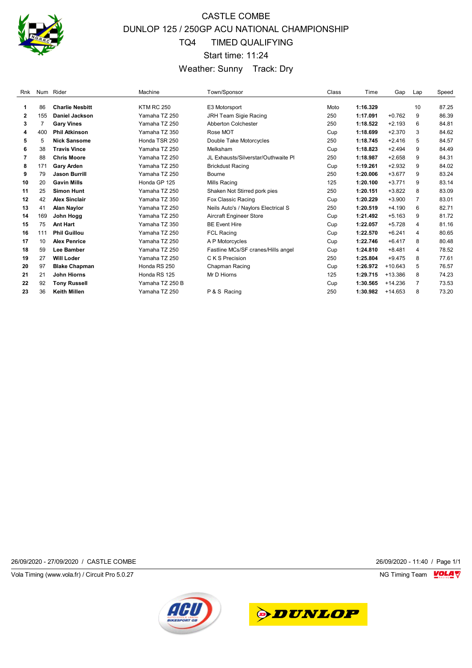

# CASTLE COMBE DUNLOP 125 / 250GP ACU NATIONAL CHAMPIONSHIP TQ4 TIMED QUALIFYING Start time: 11:24 Weather: Sunny Track: Dry

| Rnk          |     | Num Rider              | Machine           | Town/Sponsor                        | Class | Time     | Gap       | Lap            | Speed |
|--------------|-----|------------------------|-------------------|-------------------------------------|-------|----------|-----------|----------------|-------|
|              |     |                        |                   |                                     |       |          |           |                |       |
| 1            | 86  | <b>Charlie Nesbitt</b> | <b>KTM RC 250</b> | E3 Motorsport                       | Moto  | 1:16.329 |           | 10             | 87.25 |
| $\mathbf{2}$ | 155 | <b>Daniel Jackson</b>  | Yamaha TZ 250     | JRH Team Sigie Racing               | 250   | 1:17.091 | $+0.762$  | 9              | 86.39 |
| 3            | 7   | <b>Gary Vines</b>      | Yamaha TZ 250     | <b>Abberton Colchester</b>          | 250   | 1:18.522 | $+2.193$  | 6              | 84.81 |
| 4            | 400 | <b>Phil Atkinson</b>   | Yamaha TZ 350     | Rose MOT                            | Cup   | 1:18.699 | $+2.370$  | 3              | 84.62 |
| 5            | 5   | <b>Nick Sansome</b>    | Honda TSR 250     | Double Take Motorcycles             | 250   | 1:18.745 | $+2.416$  | 5              | 84.57 |
| 6            | 38  | <b>Travis Vince</b>    | Yamaha TZ 250     | Melksham                            | Cup   | 1:18.823 | $+2.494$  | 9              | 84.49 |
| 7            | 88  | <b>Chris Moore</b>     | Yamaha TZ 250     | JL Exhausts/Silverstar/Outhwaite Pl | 250   | 1:18.987 | $+2.658$  | 9              | 84.31 |
| 8            | 171 | <b>Gary Arden</b>      | Yamaha TZ 250     | <b>Brickdust Racing</b>             | Cup   | 1:19.261 | $+2.932$  | 9              | 84.02 |
| 9            | 79  | <b>Jason Burrill</b>   | Yamaha TZ 250     | Bourne                              | 250   | 1:20.006 | $+3.677$  | 9              | 83.24 |
| 10           | 20  | <b>Gavin Mills</b>     | Honda GP 125      | Mills Racing                        | 125   | 1:20.100 | $+3.771$  | 9              | 83.14 |
| 11           | 25  | <b>Simon Hunt</b>      | Yamaha TZ 250     | Shaken Not Stirred pork pies        | 250   | 1:20.151 | $+3.822$  | 8              | 83.09 |
| 12           | 42  | <b>Alex Sinclair</b>   | Yamaha TZ 350     | Fox Classic Racing                  | Cup   | 1:20.229 | $+3.900$  | $\overline{7}$ | 83.01 |
| 13           | 41  | <b>Alan Naylor</b>     | Yamaha TZ 250     | Neils Auto's / Naylors Electrical S | 250   | 1:20.519 | $+4.190$  | 6              | 82.71 |
| 14           | 169 | John Hogg              | Yamaha TZ 250     | Aircraft Engineer Store             | Cup   | 1:21.492 | $+5.163$  | 9              | 81.72 |
| 15           | 75  | <b>Ant Hart</b>        | Yamaha TZ 350     | <b>BE Event Hire</b>                | Cup   | 1:22.057 | $+5.728$  | 4              | 81.16 |
| 16           | 111 | <b>Phil Guillou</b>    | Yamaha TZ 250     | <b>FCL Racing</b>                   | Cup   | 1:22.570 | $+6.241$  | 4              | 80.65 |
| 17           | 10  | <b>Alex Penrice</b>    | Yamaha TZ 250     | A P Motorcycles                     | Cup   | 1:22.746 | $+6.417$  | 8              | 80.48 |
| 18           | 59  | <b>Lee Bamber</b>      | Yamaha TZ 250     | Fastline MCs/SF cranes/Hills angel  | Cup   | 1:24.810 | $+8.481$  | 4              | 78.52 |
| 19           | 27  | <b>Will Loder</b>      | Yamaha TZ 250     | C K S Precision                     | 250   | 1:25.804 | $+9.475$  | 8              | 77.61 |
| 20           | 97  | <b>Blake Chapman</b>   | Honda RS 250      | Chapman Racing                      | Cup   | 1:26.972 | $+10.643$ | 5              | 76.57 |
| 21           | 21  | John Hiorns            | Honda RS 125      | Mr D Hiorns                         | 125   | 1:29.715 | $+13.386$ | 8              | 74.23 |
| 22           | 92  | <b>Tony Russell</b>    | Yamaha TZ 250 B   |                                     | Cup   | 1:30.565 | $+14.236$ | 7              | 73.53 |
| 23           | 36  | <b>Keith Millen</b>    | Yamaha TZ 250     | P & S Racing                        | 250   | 1:30.982 | $+14.653$ | 8              | 73.20 |

26/09/2020 - 27/09/2020 / CASTLE COMBE 26/09/2020 - 11:40 / Page 1/1

Vola Timing (www.vola.fr) / Circuit Pro 5.0.27 **NG Timing Team** Vola Timing Team VOLA V



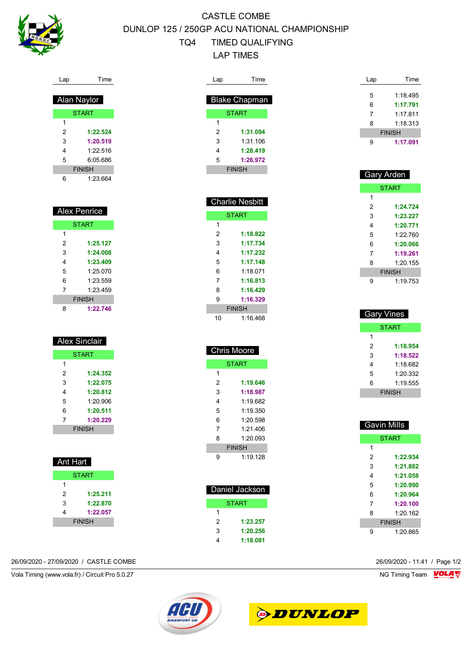

# CASTLE COMBE DUNLOP 125 / 250GP ACU NATIONAL CHAMPIONSHIP TQ4 TIMED QUALIFYING LAP TIMES

| Lap         | Time          |  |  |  |
|-------------|---------------|--|--|--|
|             |               |  |  |  |
| Alan Naylor |               |  |  |  |
|             | <b>START</b>  |  |  |  |
| 1           |               |  |  |  |
| 2           | 1:22.524      |  |  |  |
| 3           | 1:20.519      |  |  |  |
| 4           | 1.22.516      |  |  |  |
| 5           | 6:05.686      |  |  |  |
|             | <b>FINISH</b> |  |  |  |
| 6           | 1:23.664      |  |  |  |

| <b>Alex Penrice</b> |              |  |  |
|---------------------|--------------|--|--|
|                     | <b>START</b> |  |  |
| 1                   |              |  |  |
| 2                   | 1:25.127     |  |  |
| 3                   | 1:24.008     |  |  |
| 4                   | 1:23.409     |  |  |
| 5                   | 1.25 070     |  |  |
| 6                   | 1.23 559     |  |  |
| 7                   | 1.23 459     |  |  |
| <b>FINISH</b>       |              |  |  |
| 8                   | 1:22.746     |  |  |

| Alex Sinclair |               |  |
|---------------|---------------|--|
| <b>START</b>  |               |  |
| 1             |               |  |
| 2             | 1:24.352      |  |
| 3             | 1:22.075      |  |
| 4             | 1:20.812      |  |
| 5             | 1:20.906      |  |
| 6             | 1:20.511      |  |
| 7             | 1:20.229      |  |
|               | <b>FINISH</b> |  |

| Ant Hart      |          |  |
|---------------|----------|--|
| <b>START</b>  |          |  |
| 1             |          |  |
| 2             | 1:25.211 |  |
| 3             | 1:22.870 |  |
| 4             | 1:22.057 |  |
| <b>FINISH</b> |          |  |

### 26/09/2020 - 27/09/2020 / CASTLE COMBE 26/09/2020 - 11:41 / Page 1/2

Vola Timing (www.vola.fr) / Circuit Pro 5.0.27 **NG Timing Team Monet Account Property** 

| Time                 |  |  |
|----------------------|--|--|
|                      |  |  |
| <b>Blake Chapman</b> |  |  |
| <b>START</b>         |  |  |
|                      |  |  |
| 1:31.094             |  |  |
| 1:31 106             |  |  |
| 1:28.419             |  |  |
| 1:26.972             |  |  |
| <b>FINISH</b>        |  |  |
|                      |  |  |

| <b>Charlie Nesbitt</b> |              |  |
|------------------------|--------------|--|
|                        | <b>START</b> |  |
| 1                      |              |  |
| 2                      | 1:18.822     |  |
| 3                      | 1:17.734     |  |
| 4                      | 1:17.232     |  |
| 5                      | 1:17.148     |  |
| 6                      | 1.18071      |  |
| 7                      | 1:16.813     |  |
| 8                      | 1:16.429     |  |
| 9                      | 1:16.329     |  |
| <b>FINISH</b>          |              |  |
| 10                     | 1:16.468     |  |

| <b>Chris Moore</b> |              |  |  |  |  |
|--------------------|--------------|--|--|--|--|
|                    | <b>START</b> |  |  |  |  |
| 1                  |              |  |  |  |  |
| 2                  | 1:19.646     |  |  |  |  |
| 3                  | 1:18.987     |  |  |  |  |
| 4                  | 1.19.682     |  |  |  |  |
| 5                  | 1:19.350     |  |  |  |  |
| 6                  | 1.20 598     |  |  |  |  |
| 7                  | 1:21.406     |  |  |  |  |
| 8                  | 1:20.093     |  |  |  |  |
| <b>FINISH</b>      |              |  |  |  |  |
| 9                  | 1.19 128     |  |  |  |  |
|                    |              |  |  |  |  |
|                    |              |  |  |  |  |

| Daniel Jackson |          |  |
|----------------|----------|--|
| START          |          |  |
| 1              |          |  |
| 2              | 1:23.257 |  |
| 3              | 1:20.256 |  |
|                | 1:18.081 |  |

| Lap | Time          |
|-----|---------------|
| 5   | 1:18.495      |
| 6   | 1:17.791      |
| 7   | 1.17811       |
|     |               |
| 8   | 1:18.313      |
|     | <b>FINISH</b> |
|     | 1:17.091      |

| Gary Arden |               |  |  |
|------------|---------------|--|--|
|            | <b>START</b>  |  |  |
| 1          |               |  |  |
| 2          | 1:24.724      |  |  |
| 3          | 1:23.227      |  |  |
| 4          | 1:20.771      |  |  |
| 5          | 1.22.760      |  |  |
| 6          | 1:20.066      |  |  |
| 7          | 1:19.261      |  |  |
| 8          | 1:20.155      |  |  |
|            | <b>FINISH</b> |  |  |
| 9          | 1:19.753      |  |  |

| <b>Gary Vines</b> |               |  |
|-------------------|---------------|--|
|                   | <b>START</b>  |  |
| 1                 |               |  |
| 2                 | 1:18.954      |  |
| 3                 | 1:18.522      |  |
| 4                 | 1.18682       |  |
| 5                 | 1:20.332      |  |
| 6                 | 1:19.555      |  |
|                   | <b>FINISH</b> |  |

| Gavin Mills   |              |
|---------------|--------------|
|               | <b>START</b> |
| 1             |              |
| 2             | 1:22.934     |
| 3             | 1:21.882     |
| 4             | 1:21.058     |
| 5             | 1:20.990     |
| 6             | 1:20.964     |
| 7             | 1:20.100     |
| 8             | 1:20162      |
| <b>FINISH</b> |              |
| g             | 1:20.865     |



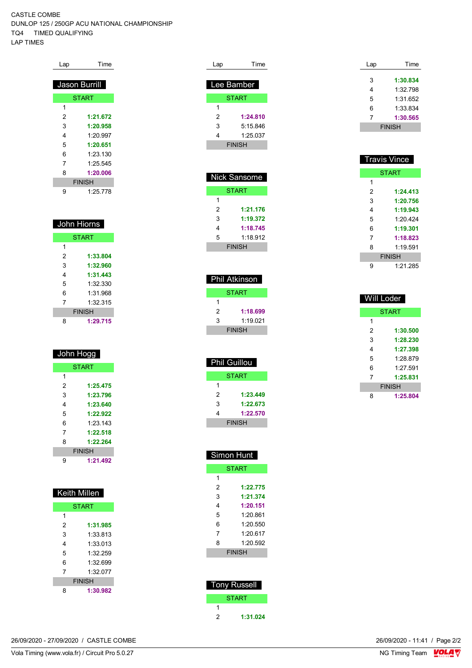### CASTLE COMBE DUNLOP 125 / 250GP ACU NATIONAL CHAMPIONSHIP TQ4 TIMED QUALIFYING

LAP TIMES

| Lap           | Гіmе          |
|---------------|---------------|
|               |               |
|               | Jason Burrill |
|               | <b>START</b>  |
| 1             |               |
| 2             | 1:21.672      |
| 3             | 1:20.958      |
| 4             | 1:20.997      |
| 5             | 1:20.651      |
| 6             | 1:23.130      |
| 7             | 1:25.545      |
| 8             | 1:20.006      |
| <b>FINISH</b> |               |
| 9             | 1:25.778      |

|   | John Hiorns  |
|---|--------------|
|   | <b>START</b> |
| 1 |              |
| 2 | 1:33.804     |
| 3 | 1:32.960     |
|   | 1:31.443     |
|   |              |

| 5             | 1:32.330 |  |
|---------------|----------|--|
| 6             | 1:31.968 |  |
| 7             | 1:32.315 |  |
| <b>FINISH</b> |          |  |
| 8             | 1:29.715 |  |

|   | <u>Jo</u> hn Hogg |
|---|-------------------|
|   | <b>START</b>      |
| 1 |                   |
| 2 | 1:25.475          |
| 3 | 1:23.796          |
| 4 | 1:23.640          |
| 5 | 1:22.922          |
| 6 | 1.23 143          |
| 7 | 1:22.518          |
| 8 | 1:22.264          |
|   | <b>FINISH</b>     |
| 9 | 1:21.492          |

| <b>Keith Millen</b> |          |
|---------------------|----------|
| <b>START</b>        |          |
| 1                   |          |
| 2                   | 1:31.985 |
| 3                   | 1:33.813 |
| 4                   | 1:33.013 |
| 5                   | 1:32.259 |
| 6                   | 1:32 699 |
| 7                   | 1:32 077 |
| <b>FINISH</b>       |          |
| 8                   | 1:30.982 |

| Lap           | Time         |
|---------------|--------------|
| Lee Bamber    |              |
|               | <b>START</b> |
| 1             |              |
| 2             | 1:24.810     |
| 3             | 5:15.846     |
| 4             | 1:25.037     |
| <b>FINISH</b> |              |
|               |              |
|               |              |

 $\cdots$ 

| NICK Sansome  |          |  |
|---------------|----------|--|
| START         |          |  |
| 1             |          |  |
| 2             | 1:21.176 |  |
| 3             | 1:19.372 |  |
| 4             | 1:18.745 |  |
| 5             | 1:18.912 |  |
| <b>FINISH</b> |          |  |

| <b>Phil Atkinson</b> |          |
|----------------------|----------|
| START                |          |
| 1                    |          |
| 2                    | 1:18.699 |
| 3                    | 1:19.021 |
| <b>FINISH</b>        |          |
|                      |          |

| <b>Phil Guillou</b> |          |
|---------------------|----------|
| START               |          |
| 1                   |          |
| 2                   | 1:23.449 |
| 3                   | 1:22.673 |
| 4                   | 1:22.570 |
| <b>FINISH</b>       |          |

| Simon Hunt    |              |  |  |
|---------------|--------------|--|--|
|               | <b>START</b> |  |  |
| 1             |              |  |  |
| 2             | 1:22.775     |  |  |
| 3             | 1:21.374     |  |  |
| 4             | 1:20.151     |  |  |
| 5             | 1:20.861     |  |  |
| 6             | 1:20.550     |  |  |
| 7             | 1:20617      |  |  |
| 8             | 1:20.592     |  |  |
| <b>FINISH</b> |              |  |  |
|               |              |  |  |
|               |              |  |  |
|               |              |  |  |

| <b>Tony Russell</b> |              |  |
|---------------------|--------------|--|
|                     | <b>START</b> |  |
|                     |              |  |
| 2                   | 1:31.024     |  |

| Lap | Time          |
|-----|---------------|
|     |               |
| 3   | 1:30.834      |
| 4   | 1:32.798      |
| 5   | 1:31 652      |
| 6   | 1:33.834      |
| 7   | 1:30.565      |
|     | <b>FINISH</b> |

|   | Travis Vince  |
|---|---------------|
|   | <b>START</b>  |
| 1 |               |
| 2 | 1:24.413      |
| 3 | 1:20.756      |
| 4 | 1:19.943      |
| 5 | 1.20424       |
| 6 | 1:19.301      |
| 7 | 1:18.823      |
| 8 | 1.19.591      |
|   | <b>FINISH</b> |
| 9 | 1:21.285      |

|   | Will Loder    |
|---|---------------|
|   | <b>START</b>  |
| 1 |               |
| 2 | 1:30.500      |
| 3 | 1:28.230      |
| 4 | 1:27.398      |
| 5 | 1:28.879      |
| 6 | 1:27.591      |
| 7 | 1:25.831      |
|   | <b>FINISH</b> |
| 8 | 1:25.804      |

26/09/2020 - 27/09/2020 / CASTLE COMBE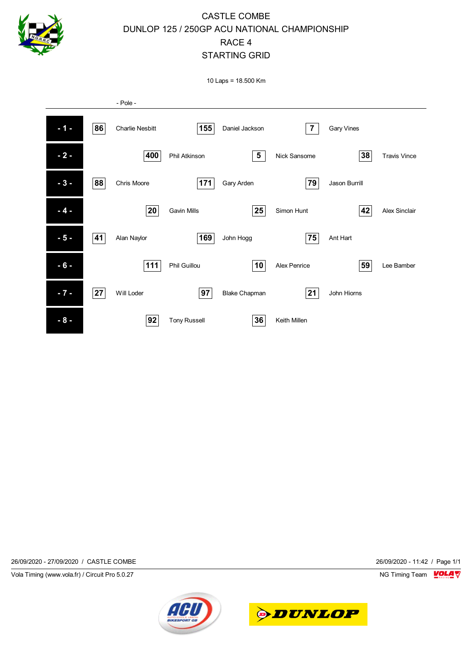

### CASTLE COMBE DUNLOP 125 / 250GP ACU NATIONAL CHAMPIONSHIP RACE 4 STARTING GRID

10 Laps = 18.500 Km



26/09/2020 - 27/09/2020 / CASTLE COMBE 26/09/2020 - 11:42 / Page 1/1

Vola Timing (www.vola.fr) / Circuit Pro 5.0.27 NG Timing Team NG Timing Team NG Timing Team NG Timing Team NG



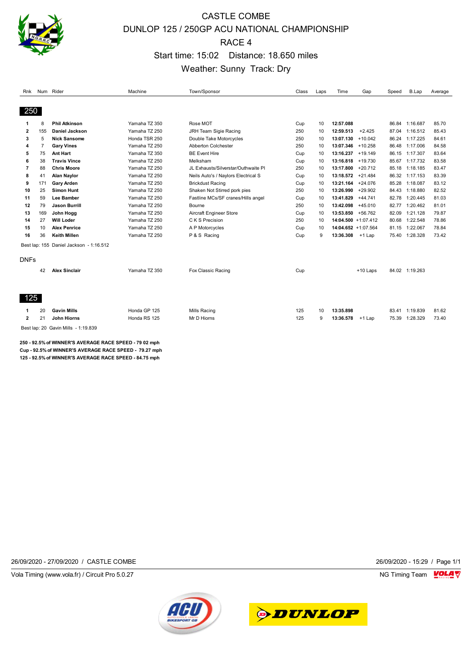

# CASTLE COMBE DUNLOP 125 / 250GP ACU NATIONAL CHAMPIONSHIP RACE 4 Start time: 15:02 Distance: 18.650 miles Weather: Sunny Track: Dry

| Rnk         |     | Num Rider                                             | Machine       | Town/Sponsor                        | Class | Laps | Time      | Gap                    | Speed | B.Lap    | Average |
|-------------|-----|-------------------------------------------------------|---------------|-------------------------------------|-------|------|-----------|------------------------|-------|----------|---------|
|             |     |                                                       |               |                                     |       |      |           |                        |       |          |         |
| 250         |     |                                                       |               |                                     |       |      |           |                        |       |          |         |
|             | 8   | <b>Phil Atkinson</b>                                  | Yamaha TZ 350 | Rose MOT                            | Cup   | 10   | 12:57.088 |                        | 86.84 | 1:16.687 | 85.70   |
| 2           | 155 | Daniel Jackson                                        | Yamaha TZ 250 | JRH Team Sigie Racing               | 250   | 10   | 12:59.513 | $+2.425$               | 87.04 | 1:16.512 | 85.43   |
| 3           | 5   | <b>Nick Sansome</b>                                   | Honda TSR 250 | Double Take Motorcycles             | 250   | 10   | 13:07.130 | $+10.042$              | 86.24 | 1:17.225 | 84.61   |
| 4           | 7   | <b>Gary Vines</b>                                     | Yamaha TZ 250 | <b>Abberton Colchester</b>          | 250   | 10   | 13:07.346 | $+10.258$              | 86.48 | 1:17.006 | 84.58   |
| 5           | 75  | <b>Ant Hart</b>                                       | Yamaha TZ 350 | <b>BE Event Hire</b>                | Cup   | 10   | 13:16.237 | $+19.149$              | 86.15 | 1:17.307 | 83.64   |
| 6           | 38  | <b>Travis Vince</b>                                   | Yamaha TZ 250 | Melksham                            | Cup   | 10   | 13:16.818 | $+19.730$              | 85.67 | 1:17.732 | 83.58   |
| 7           | 88  | <b>Chris Moore</b>                                    | Yamaha TZ 250 | JL Exhausts/Silverstar/Outhwaite PI | 250   | 10   | 13:17.800 | $+20.712$              | 85.18 | 1:18.185 | 83.47   |
| 8           | 41  | <b>Alan Naylor</b>                                    | Yamaha TZ 250 | Neils Auto's / Naylors Electrical S | Cup   | 10   | 13:18.572 | $+21.484$              | 86.32 | 1:17.153 | 83.39   |
| 9           | 171 | <b>Gary Arden</b>                                     | Yamaha TZ 250 | <b>Brickdust Racing</b>             | Cup   | 10   | 13:21.164 | $+24.076$              | 85.28 | 1:18.087 | 83.12   |
| 10          | 25  | <b>Simon Hunt</b>                                     | Yamaha TZ 250 | Shaken Not Stirred pork pies        | 250   | 10   | 13:26.990 | $+29.902$              | 84.43 | 1:18.880 | 82.52   |
| 11          | 59  | <b>Lee Bamber</b>                                     | Yamaha TZ 250 | Fastline MCs/SF cranes/Hills angel  | Cup   | 10   | 13:41.829 | $+44.741$              | 82.78 | 1:20.445 | 81.03   |
| 12          | 79  | <b>Jason Burrill</b>                                  | Yamaha TZ 250 | Bourne                              | 250   | 10   | 13:42.098 | $+45.010$              | 82.77 | 1:20.462 | 81.01   |
| 13          | 169 | John Hogg                                             | Yamaha TZ 250 | Aircraft Engineer Store             | Cup   | 10   | 13:53.850 | $+56.762$              | 82.09 | 1:21.128 | 79.87   |
| 14          | 27  | <b>Will Loder</b>                                     | Yamaha TZ 250 | C K S Precision                     | 250   | 10   |           | 14:04.500 +1:07.412    | 80.68 | 1:22.548 | 78.86   |
| 15          | 10  | <b>Alex Penrice</b>                                   | Yamaha TZ 250 | A P Motorcycles                     | Cup   | 10   |           | $14:04.652 + 1:07.564$ | 81.15 | 1:22.067 | 78.84   |
| 16          | 36  | <b>Keith Millen</b>                                   | Yamaha TZ 250 | P & S Racing                        | Cup   | 9    | 13:36.308 | +1 Lap                 | 75.40 | 1:28.328 | 73.42   |
|             |     | Best lap: 155 Daniel Jackson - 1:16.512               |               |                                     |       |      |           |                        |       |          |         |
| <b>DNFs</b> |     |                                                       |               |                                     |       |      |           |                        |       |          |         |
|             |     |                                                       |               |                                     |       |      |           |                        |       |          |         |
|             | 42  | <b>Alex Sinclair</b>                                  | Yamaha TZ 350 | Fox Classic Racing                  | Cup   |      |           | $+10$ Laps             | 84.02 | 1:19.263 |         |
|             |     |                                                       |               |                                     |       |      |           |                        |       |          |         |
| 125         |     |                                                       |               |                                     |       |      |           |                        |       |          |         |
|             |     |                                                       |               |                                     |       |      |           |                        |       |          |         |
|             | 20  | <b>Gavin Mills</b>                                    | Honda GP 125  | Mills Racing                        | 125   | 10   | 13:35.898 |                        | 83.41 | 1:19.839 | 81.62   |
| 2           | 21  | John Hiorns                                           | Honda RS 125  | Mr D Hiorns                         | 125   | 9    | 13:36.578 | +1 Lap                 | 75.39 | 1:28.329 | 73.40   |
| $-1$        |     | $\sim$ $\sim$ $\sim$ $\sim$ $\sim$ $\sim$<br>1.10.000 |               |                                     |       |      |           |                        |       |          |         |

Best lap: 20 Gavin Mills - 1:19.839

**250 - 92.5% of WINNER'S AVERAGE RACE SPEED - 79 02 mph Cup - 92.5% of WINNER'S AVERAGE RACE SPEED - 79.27 mph 125 - 92.5% of WINNER'S AVERAGE RACE SPEED - 84.75 mph**

26/09/2020 - 27/09/2020 / CASTLE COMBE 26/09/2020 - 15:29 / Page 1/1

Vola Timing (www.vola.fr) / Circuit Pro 5.0.27 NG Timing Team Museum of the Superior Section 1997 NG Timing Team Museum of the Superior Section 1997 NG Timing Team Museum of the Superior Section 1997 NG Timing Team Museum



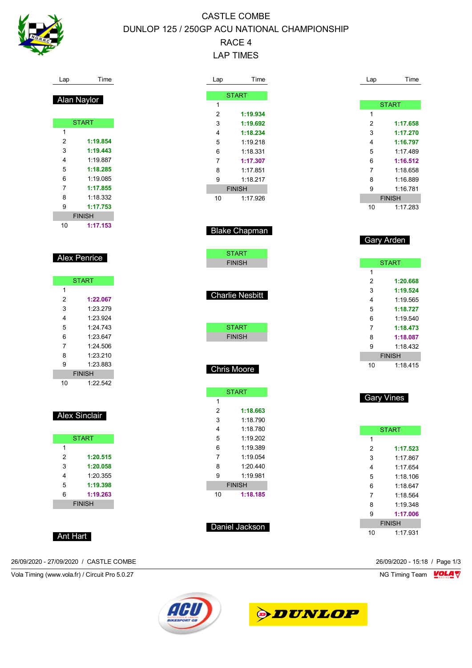

## CASTLE COMBE DUNLOP 125 / 250GP ACU NATIONAL CHAMPIONSHIP RACE 4 LAP TIMES

| Lap              | Time                 |
|------------------|----------------------|
|                  |                      |
|                  | Alan Naylor          |
|                  |                      |
|                  | <b>START</b>         |
| 1                |                      |
| $\boldsymbol{2}$ | 1:19.854             |
| 3                | 1:19.443             |
| 4                | 1:19.887             |
| 5                | 1:18.285             |
| 6                | 1:19.085             |
| 7                | 1:17.855             |
| 8                | 1:18.332             |
| 9                | 1:17.753             |
|                  | <b>FINISH</b>        |
| 10               | 1:17.153             |
|                  |                      |
|                  |                      |
|                  | Alex Penrice         |
|                  |                      |
|                  |                      |
|                  | <b>START</b>         |
| 1                |                      |
| $\boldsymbol{2}$ | 1:22.067             |
| 3                | 1:23.279             |
| 4                | 1:23.924             |
| 5                | 1:24.743             |
| 6                | 1:23.647             |
| 7                | 1:24.506             |
| 8                | 1:23.210             |
| 9                | 1:23.883             |
|                  | <b>FINISH</b>        |
| 10               | 1:22.542             |
|                  |                      |
|                  |                      |
|                  | <b>Alex Sinclair</b> |
|                  |                      |
|                  | <b>START</b>         |
| $\mathbf{1}$     |                      |
| $\boldsymbol{2}$ | 1:20.515             |
| 3                | 1:20.058             |
| 4                | 1:20.355             |
| 5                | 1:19.398             |
| 6                | 1:19.263             |
|                  | <b>FINISH</b>        |
|                  |                      |
|                  |                      |
|                  |                      |

26/09/2020 - 27/09/2020 / CASTLE COMBE 26/09/2020 - 15:18 / Page 1/3

Vola Timing (www.vola.fr) / Circuit Pro 5.0.27 NG Timing Team VOLA V



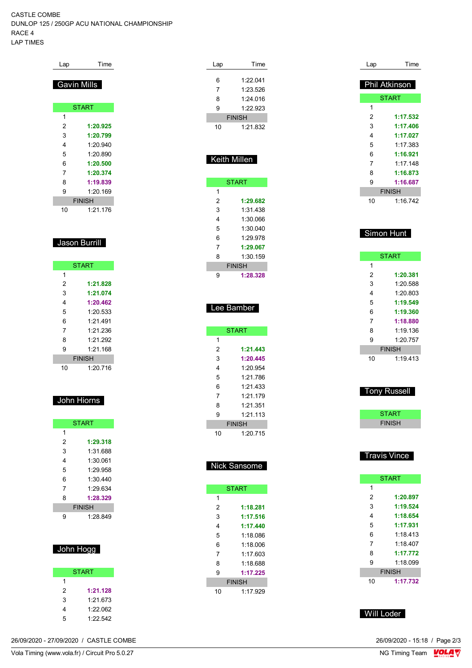#### CASTLE COMBE DUNLOP 125 / 250GP ACU NATIONAL CHAMPIONSHIP RACE 4 LAP TIMES

| Lap            | Time          |
|----------------|---------------|
|                | Gavin Mills   |
|                |               |
|                | <b>START</b>  |
| 1              |               |
| 2              | 1:20.925      |
| 3              | 1:20.799      |
| 4              | 1:20.940      |
| 5              | 1:20.890      |
| 6              | 1:20.500      |
| $\overline{7}$ | 1:20.374      |
| 8              | 1:19.839      |
| 9              | 1.20169       |
|                | <b>FINISH</b> |
| 10             | 1:21.176      |
|                |               |
|                |               |
|                | Jason Burrill |
|                |               |

|    | <b>START</b>  |
|----|---------------|
| 1  |               |
| 2  | 1:21.828      |
| 3  | 1:21.074      |
| 4  | 1:20.462      |
| 5  | 1.20.533      |
| 6  | 1:21.491      |
| 7  | 1:21.236      |
| 8  | 1.21.292      |
| 9  | 1:21.168      |
|    | <b>FINISH</b> |
| 10 | 1:20.716      |

### John Hiorns

|   | <b>START</b>  |
|---|---------------|
| 1 |               |
| 2 | 1:29.318      |
| 3 | 1:31 688      |
| 4 | 1:30.061      |
| 5 | 1.29 958      |
| 6 | 1:30.440      |
| 7 | 1.29634       |
| 8 | 1:28.329      |
|   | <b>FINISH</b> |
| g | 1:28.849      |

### John Hogg

|   | <b>START</b> |
|---|--------------|
| 1 |              |
| 2 | 1:21.128     |
| 3 | 1.21 673     |
| 4 | 1.22.062     |
| 5 | 1:22.542     |

| 26/09/2020 - 27/09/2020 / CASTLE COMBE | 26/09/2020 - 15:18 / Page 2/3 |
|----------------------------------------|-------------------------------|
|                                        |                               |

| Lap | Time                |
|-----|---------------------|
|     |                     |
| 6   | 1:22.041            |
| 7   | 1:23.526            |
| 8   | 1:24.016            |
| 9   | 1:22.923            |
|     | <b>FINISH</b>       |
| 10  | 1:21.832            |
|     |                     |
|     |                     |
|     | <b>Keith Millen</b> |
|     |                     |
|     |                     |
|     | <b>START</b>        |
| 1   |                     |
| 2   | 1:29.682            |
| 3   | 1:31.438            |
| 4   | 1:30.066            |
| 5   | 1:30.040            |
| 6   | 1:29.978            |
| 7   | 1:29.067            |
| 8   | 1:30.159            |
|     |                     |
|     | <b>FINISH</b>       |
| 9   | 1:28.328            |
|     |                     |
|     |                     |
|     | Lee Bamber          |
|     |                     |
|     | <b>START</b>        |
| 1   |                     |
| 2   | 1:21.443            |
| 3   | 1:20.445            |
| 4   |                     |
|     | 1:20.954            |
| 5   | 1:21.786            |
| 6   | 1:21.433            |
| 7   | 1:21.179            |
| 8   | 1:21.351            |
| 9   | 1:21.113            |
|     | <b>FINISH</b>       |
| 10  | 1:20.715            |
|     |                     |
|     |                     |
|     | <b>Nick Sansome</b> |
|     |                     |
|     |                     |
|     | <b>START</b>        |
| 1   |                     |
| 2   | 1:18.281            |
| 3   | 1:17.516            |
| 4   | 1:17.440            |
| 5   | 1:18.086            |
| 6   | 1:18.006            |
| 7   | 1:17.603            |
| 8   | 1:18.688            |
| 9   | 1:17.225            |
|     | <b>FINISH</b>       |
| 10  | 1:17.929            |
|     |                     |

| Lap            | Time                      |
|----------------|---------------------------|
|                | Phil Atkinson             |
|                | <b>START</b>              |
| 1              |                           |
| 2              | 1:17.532                  |
| 3              | 1:17.406                  |
| 4              | 1:17.027                  |
| 5              | 1:17.383                  |
| 6              | 1:16.921                  |
| $\overline{7}$ | 1:17.148                  |
| 8              | 1:16.873                  |
| 9              | 1:16.687                  |
|                |                           |
|                | <b>FINISH</b>             |
| 10             | 1:16.742                  |
| Simon Hunt     |                           |
|                | <b>START</b>              |
| 1              |                           |
| $\overline{2}$ | 1:20.381                  |
| 3              | 1:20.588                  |
| 4              | 1:20.803                  |
| 5              | 1:19.549                  |
| 6              | 1:19.360                  |
| 7              | 1:18.880                  |
| 8              | 1:19.136                  |
| 9              | 1:20.757                  |
| 10             | <b>FINISH</b><br>1:19.413 |

| ony Russe |
|-----------|
|-----------|

| START         |  |
|---------------|--|
| <b>FINISH</b> |  |
|               |  |

### Travis Vince

|               | <b>START</b> |  |  |  |  |  |  |  |
|---------------|--------------|--|--|--|--|--|--|--|
| 1             |              |  |  |  |  |  |  |  |
| 2             | 1:20.897     |  |  |  |  |  |  |  |
| 3             | 1:19.524     |  |  |  |  |  |  |  |
| 4             | 1:18.654     |  |  |  |  |  |  |  |
| 5             | 1:17.931     |  |  |  |  |  |  |  |
| 6             | 1:18.413     |  |  |  |  |  |  |  |
| 7             | 1.18407      |  |  |  |  |  |  |  |
| 8             | 1:17.772     |  |  |  |  |  |  |  |
| 9             | 1.18099      |  |  |  |  |  |  |  |
| <b>FINISH</b> |              |  |  |  |  |  |  |  |
| 10            | 1:17.732     |  |  |  |  |  |  |  |

Will Loder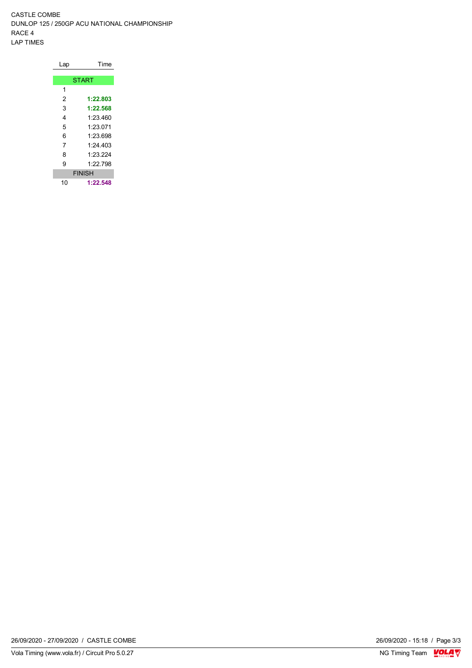CASTLE COMBE DUNLOP 125 / 250GP ACU NATIONAL CHAMPIONSHIP RACE 4 LAP TIMES

| Lap          | Time          |  |  |  |  |  |  |  |
|--------------|---------------|--|--|--|--|--|--|--|
|              |               |  |  |  |  |  |  |  |
| <b>START</b> |               |  |  |  |  |  |  |  |
| 1            |               |  |  |  |  |  |  |  |
| 2            | 1:22.803      |  |  |  |  |  |  |  |
| 3            | 1:22.568      |  |  |  |  |  |  |  |
| 4            | 1:23.460      |  |  |  |  |  |  |  |
| 5            | 1.23 071      |  |  |  |  |  |  |  |
| 6            | 1:23.698      |  |  |  |  |  |  |  |
| 7            | 1.24 403      |  |  |  |  |  |  |  |
| 8            | 1.23.224      |  |  |  |  |  |  |  |
| 9            | 1:22.798      |  |  |  |  |  |  |  |
|              | <b>FINISH</b> |  |  |  |  |  |  |  |
| 10           | 1:22.548      |  |  |  |  |  |  |  |

 $\frac{26/09/2020 - 15:18}{\text{NG Timing Team}} \cdot \frac{\text{VOLA}}{\text{V}}$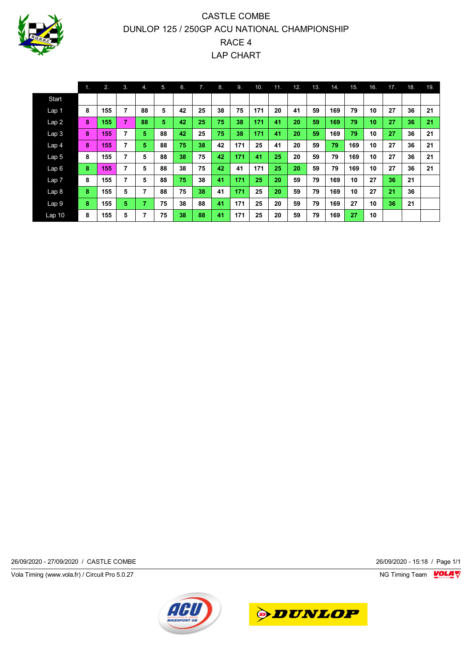

## CASTLE COMBE DUNLOP 125 / 250GP ACU NATIONAL CHAMPIONSHIP RACE 4 LAP CHART

|                  | 11. | 2.  | 3. | 4. | 5. | 6. | 7. | 8. | 9.  | 10. | 11. | 12. | 13. | 14. | 15. | 16. | 17. | 18. | 19. |
|------------------|-----|-----|----|----|----|----|----|----|-----|-----|-----|-----|-----|-----|-----|-----|-----|-----|-----|
| Start            |     |     |    |    |    |    |    |    |     |     |     |     |     |     |     |     |     |     |     |
| Lap 1            | 8   | 155 | 7  | 88 | 5  | 42 | 25 | 38 | 75  | 171 | 20  | 41  | 59  | 169 | 79  | 10  | 27  | 36  | 21  |
| Lap2             | 8   | 155 | 7  | 88 | 5  | 42 | 25 | 75 | 38  | 171 | 41  | 20  | 59  | 169 | 79  | 10  | 27  | 36  | 21  |
| Lap <sub>3</sub> | 8   | 155 | 7  | 5  | 88 | 42 | 25 | 75 | 38  | 171 | 41  | 20  | 59  | 169 | 79  | 10  | 27  | 36  | 21  |
| Lap <sub>4</sub> | 8   | 155 | 7  | 5  | 88 | 75 | 38 | 42 | 171 | 25  | 41  | 20  | 59  | 79  | 169 | 10  | 27  | 36  | 21  |
| Lap <sub>5</sub> | 8   | 155 | 7  | 5  | 88 | 38 | 75 | 42 | 171 | 41  | 25  | 20  | 59  | 79  | 169 | 10  | 27  | 36  | 21  |
| Lap6             | 8   | 155 | 7  | 5  | 88 | 38 | 75 | 42 | 41  | 171 | 25  | 20  | 59  | 79  | 169 | 10  | 27  | 36  | 21  |
| Lap <sub>7</sub> | 8   | 155 | 7  | 5  | 88 | 75 | 38 | 41 | 171 | 25  | 20  | 59  | 79  | 169 | 10  | 27  | 36  | 21  |     |
| Lap <sub>8</sub> | 8   | 155 | 5  | 7  | 88 | 75 | 38 | 41 | 171 | 25  | 20  | 59  | 79  | 169 | 10  | 27  | 21  | 36  |     |
| Lap 9            | 8   | 155 | 5  | 7  | 75 | 38 | 88 | 41 | 171 | 25  | 20  | 59  | 79  | 169 | 27  | 10  | 36  | 21  |     |
| Lap 10           | 8   | 155 | 5  | 7  | 75 | 38 | 88 | 41 | 171 | 25  | 20  | 59  | 79  | 169 | 27  | 10  |     |     |     |

26/09/2020 - 27/09/2020 / CASTLE COMBE 26/09/2020 - 15:18 / Page 1/1

Vola Timing (www.vola.fr) / Circuit Pro 5.0.27 **NG Timing Team Monet Account Property**